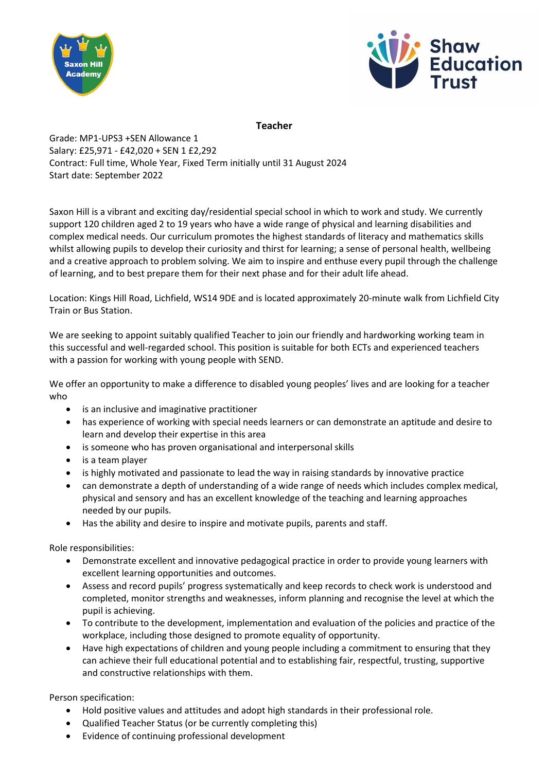



## **Teacher**

## Grade: MP1-UPS3 +SEN Allowance 1 Salary: £25,971 - £42,020 + SEN 1 £2,292 Contract: Full time, Whole Year, Fixed Term initially until 31 August 2024 Start date: September 2022

Saxon Hill is a vibrant and exciting day/residential special school in which to work and study. We currently support 120 children aged 2 to 19 years who have a wide range of physical and learning disabilities and complex medical needs. Our curriculum promotes the highest standards of literacy and mathematics skills whilst allowing pupils to develop their curiosity and thirst for learning; a sense of personal health, wellbeing and a creative approach to problem solving. We aim to inspire and enthuse every pupil through the challenge of learning, and to best prepare them for their next phase and for their adult life ahead.

Location: Kings Hill Road, Lichfield, WS14 9DE and is located approximately 20-minute walk from Lichfield City Train or Bus Station.

We are seeking to appoint suitably qualified Teacher to join our friendly and hardworking working team in this successful and well-regarded school. This position is suitable for both ECTs and experienced teachers with a passion for working with young people with SEND.

We offer an opportunity to make a difference to disabled young peoples' lives and are looking for a teacher who

- is an inclusive and imaginative practitioner
- has experience of working with special needs learners or can demonstrate an aptitude and desire to learn and develop their expertise in this area
- is someone who has proven organisational and interpersonal skills
- is a team player
- is highly motivated and passionate to lead the way in raising standards by innovative practice
- can demonstrate a depth of understanding of a wide range of needs which includes complex medical, physical and sensory and has an excellent knowledge of the teaching and learning approaches needed by our pupils.
- Has the ability and desire to inspire and motivate pupils, parents and staff.

Role responsibilities:

- Demonstrate excellent and innovative pedagogical practice in order to provide young learners with excellent learning opportunities and outcomes.
- Assess and record pupils' progress systematically and keep records to check work is understood and completed, monitor strengths and weaknesses, inform planning and recognise the level at which the pupil is achieving.
- To contribute to the development, implementation and evaluation of the policies and practice of the workplace, including those designed to promote equality of opportunity.
- Have high expectations of children and young people including a commitment to ensuring that they can achieve their full educational potential and to establishing fair, respectful, trusting, supportive and constructive relationships with them.

Person specification:

- Hold positive values and attitudes and adopt high standards in their professional role.
- Qualified Teacher Status (or be currently completing this)
- Evidence of continuing professional development